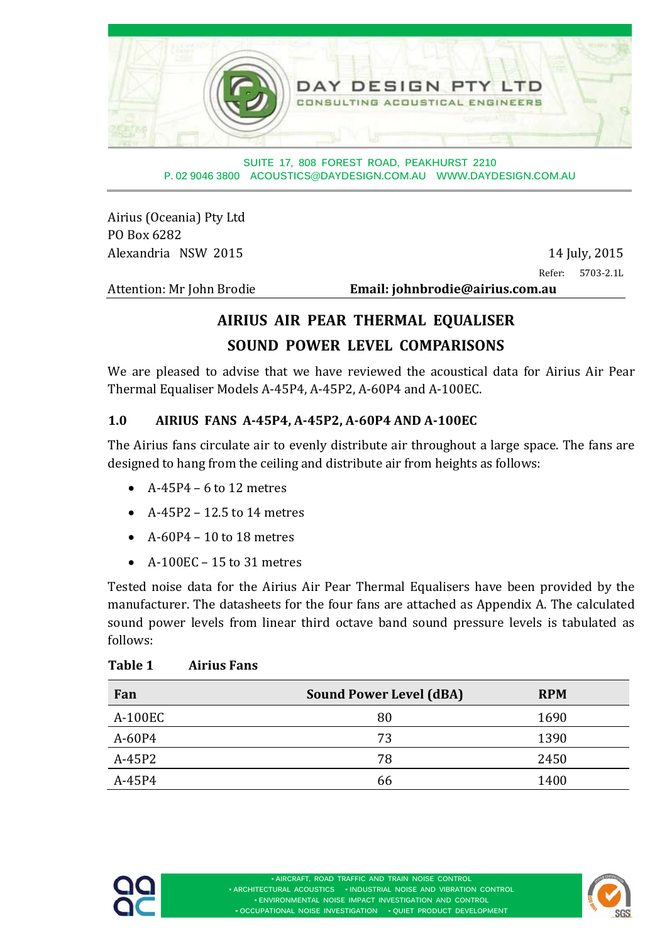

**SUITE 17, 808 FOREST ROAD, PEAKHURST 2210 P. 02 9046 3800 ACOUSTICS@DAYDESIGN.COM.AU WWW.DAYDESIGN.COM.AU** 

Airius (Oceania) Pty Ltd PO Box 6282 Alexandria NSW 2015 14 July, 2015

Refer: 5703-2.1L

Attention: Mr John Brodie **Email: iohnbrodie@airius.com.au** 

### **AIRIUS AIR PEAR THERMAL EQUALISER SOUND POWER LEVEL COMPARISONS**

We are pleased to advise that we have reviewed the acoustical data for Airius Air Pear Thermal Equaliser Models A-45P4, A-45P2, A-60P4 and A-100EC.

### **1.0 AIRIUS FANS A‐45P4, A‐45P2, A‐60P4 AND A‐100EC**

The Airius fans circulate air to evenly distribute air throughout a large space. The fans are designed to hang from the ceiling and distribute air from heights as follows:

- $\bullet$  A-45P4 6 to 12 metres
- $\bullet$  A-45P2 12.5 to 14 metres
- $\bullet$  A-60P4 10 to 18 metres
- $\bullet$  A-100EC 15 to 31 metres

Tested noise data for the Airius Air Pear Thermal Equalisers have been provided by the manufacturer. The datasheets for the four fans are attached as Appendix A. The calculated sound power levels from linear third octave band sound pressure levels is tabulated as follows: 

#### **Table 1 Airius Fans**

| Fan      | <b>Sound Power Level (dBA)</b> | <b>RPM</b> |
|----------|--------------------------------|------------|
| A-100EC  | 80                             | 1690       |
| A-60P4   | 73                             | 1390       |
| $A-45P2$ | 78                             | 2450       |
| A-45P4   | 66                             | 1400       |



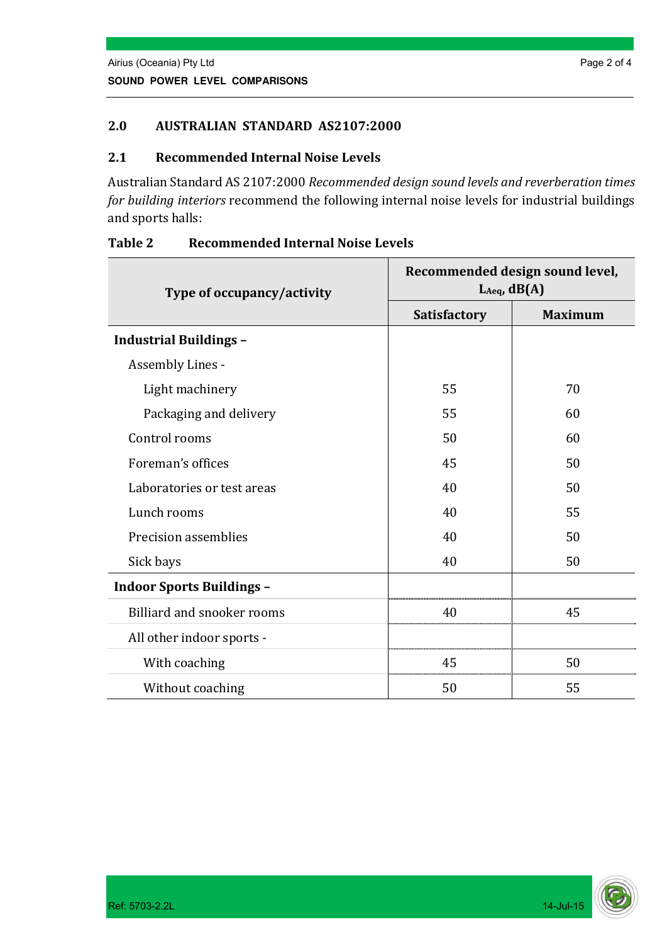#### **2.0 AUSTRALIAN STANDARD AS2107:2000**

#### **2.1 Recommended Internal Noise Levels**

Australian Standard AS 2107:2000 *Recommended design sound levels and reverberation times for building interiors* recommend the following internal noise levels for industrial buildings and sports halls:

| Type of occupancy/activity       | Recommended design sound level,<br>$L_{Aeq}$ , $dB(A)$ |                |  |
|----------------------------------|--------------------------------------------------------|----------------|--|
|                                  | Satisfactory                                           | <b>Maximum</b> |  |
| <b>Industrial Buildings -</b>    |                                                        |                |  |
| Assembly Lines -                 |                                                        |                |  |
| Light machinery                  | 55                                                     | 70             |  |
| Packaging and delivery           | 55                                                     | 60             |  |
| Control rooms                    | 50                                                     | 60             |  |
| Foreman's offices                | 45                                                     | 50             |  |
| Laboratories or test areas       | 40                                                     | 50             |  |
| Lunch rooms                      | 40                                                     | 55             |  |
| Precision assemblies             | 40                                                     | 50             |  |
| Sick bays                        | 40                                                     | 50             |  |
| <b>Indoor Sports Buildings -</b> |                                                        |                |  |
| Billiard and snooker rooms       | 40                                                     | 45             |  |
| All other indoor sports -        |                                                        |                |  |
| With coaching                    | 45                                                     | 50             |  |
| Without coaching                 | 50                                                     | 55             |  |

#### **Table 2 Recommended Internal Noise Levels**

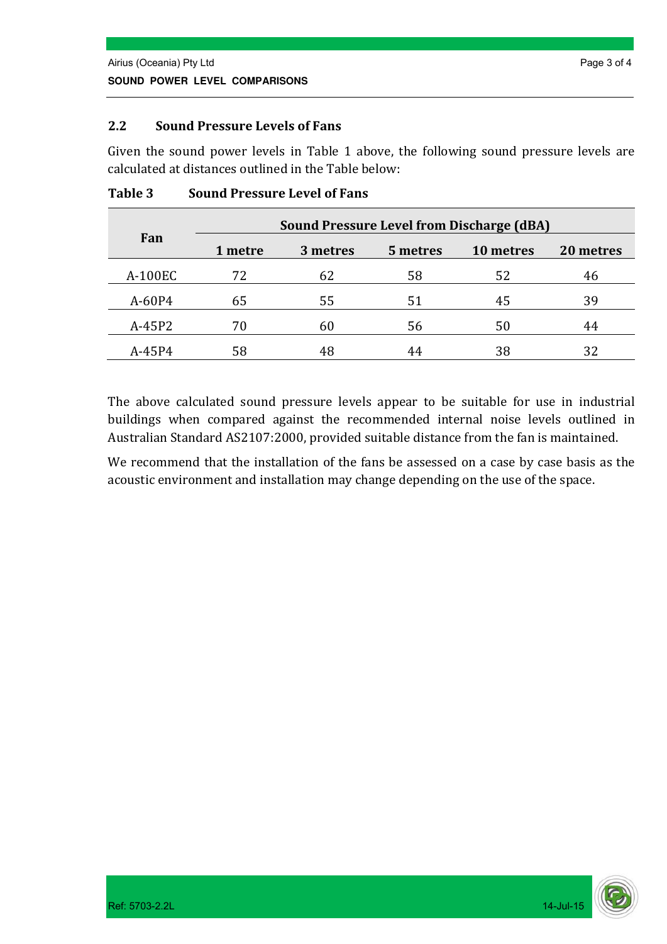#### **2.2 Sound Pressure Levels of Fans**

Given the sound power levels in Table 1 above, the following sound pressure levels are calculated at distances outlined in the Table below:

|          |         |          |          | <b>Sound Pressure Level from Discharge (dBA)</b> |           |
|----------|---------|----------|----------|--------------------------------------------------|-----------|
| Fan      | 1 metre | 3 metres | 5 metres | 10 metres                                        | 20 metres |
| A-100EC  | 72      | 62       | 58       | 52                                               | 46        |
| A-60P4   | 65      | 55       | 51       | 45                                               | 39        |
| $A-45P2$ | 70      | 60       | 56       | 50                                               | 44        |
| A-45P4   | 58      |          | 44       | 38                                               | 32        |

#### **Table 3 Sound Pressure Level of Fans**

The above calculated sound pressure levels appear to be suitable for use in industrial buildings when compared against the recommended internal noise levels outlined in Australian Standard AS2107:2000, provided suitable distance from the fan is maintained.

We recommend that the installation of the fans be assessed on a case by case basis as the acoustic environment and installation may change depending on the use of the space.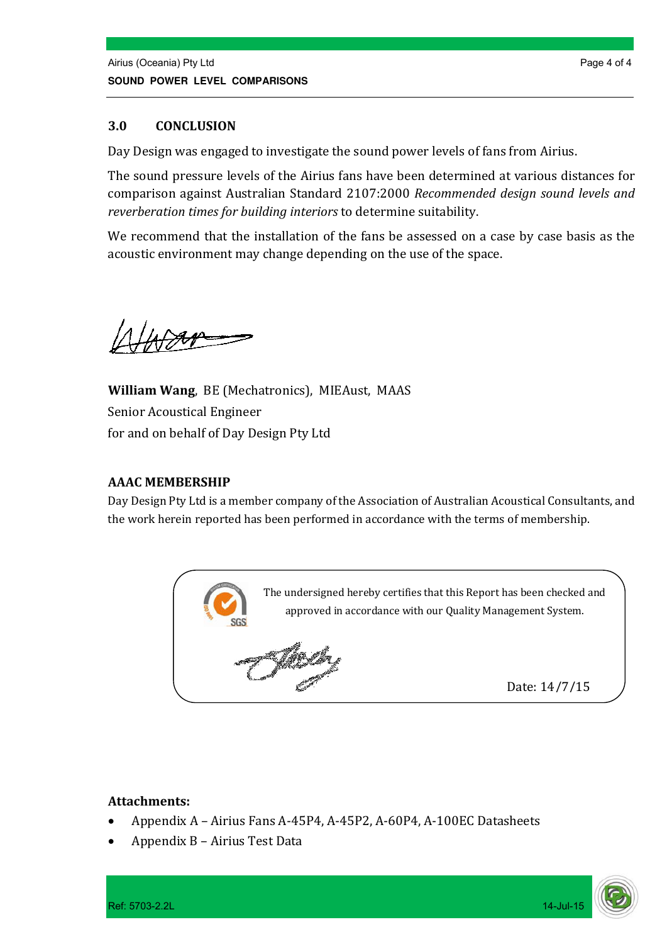#### **3.0 CONCLUSION**

Day Design was engaged to investigate the sound power levels of fans from Airius.

The sound pressure levels of the Airius fans have been determined at various distances for comparison against Australian Standard 2107:2000 *Recommended design sound levels and reverberation times for building interiors* to determine suitability. 

We recommend that the installation of the fans be assessed on a case by case basis as the acoustic environment may change depending on the use of the space.

**William Wang**, BE (Mechatronics), MIEAust, MAAS Senior Acoustical Engineer for and on behalf of Day Design Pty Ltd

#### **AAAC MEMBERSHIP**

Day Design Pty Ltd is a member company of the Association of Australian Acoustical Consultants, and the work herein reported has been performed in accordance with the terms of membership.



#### **Attachments:**

- Appendix A Airius Fans A-45P4, A-45P2, A-60P4, A-100EC Datasheets
- Appendix B Airius Test Data

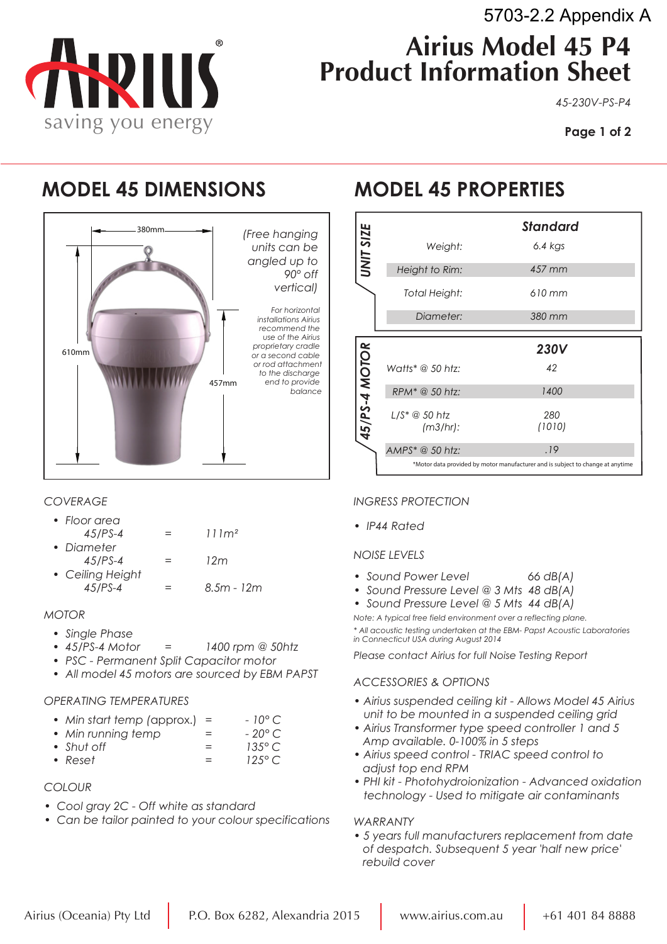

*45-230V-PS-P4*

### **MODEL 45 DIMENSIONS MODEL 45 PROPERTIES**

VIII

saving you energy



#### *COVERAGE*

| • Floor area |     |                   |
|--------------|-----|-------------------|
| $45$ /PS-4   | $=$ | 111m <sup>2</sup> |
| • Diameter   |     |                   |

- *45/PS-4 = 12m*
- *Ceiling Height*   $= 8.5m - 12m$

#### *MOTOR*

- *Single Phase*
- *45/PS-4 Motor = 1400 rpm @ 50htz*
- *PSC Permanent Split Capacitor motor*
- *All model 45 motors are sourced by EBM PAPST*

#### *OPERATING TEMPERATURES*

| $-10^{\circ}$ C<br>• Min start temp (approx.) = |  |
|-------------------------------------------------|--|
|-------------------------------------------------|--|

- *Min running temp = 20° C*
- *Shut off = 135° C • Reset = 125° C*
- 

#### *COLOUR*

- *Cool gray 2C Off white as standard*
- *Can be tailor painted to your colour specifications*

|               |                            | <b>Standard</b> |
|---------------|----------------------------|-----------------|
| UNIT SIZE     | Weight:                    | $6.4$ kgs       |
|               | Height to Rim:             | 457 mm          |
|               | Total Height:              | $610$ mm        |
|               | Diameter:                  | 380 mm          |
|               |                            |                 |
|               |                            | <b>230V</b>     |
|               |                            |                 |
|               | Watts* @ 50 htz:           | 42              |
|               | RPM <sup>*</sup> @ 50 htz: | 1400            |
|               |                            | 280             |
|               | (m3/hr):                   | (1010)          |
| 45/PS-4 MOTOR | $AMPS^* \t@ 50$ htz:       | .19             |

#### *INGRESS PROTECTION*

*• IP44 Rated*

#### *NOISE LEVELS*

- *Sound Power Level 66 dB(A)*
- *Sound Pressure Level @ 3 Mts 48 dB(A)*
- *Sound Pressure Level @ 5 Mts 44 dB(A)*

 *Note: A typical free field environment over a reflecting plane. \* All acoustic testing undertaken at the EBM- Papst Acoustic Laboratories in Connecticut USA during August 2014*

*Please contact Airius for full Noise Testing Report*

#### *ACCESSORIES & OPTIONS*

- *Airius suspended ceiling kit Allows Model 45 Airius unit to be mounted in a suspended ceiling grid*
- *Airius Transformer type speed controller 1 and 5 Amp available. 0-100% in 5 steps*
- *Airius speed control TRIAC speed control to adjust top end RPM*
- *PHI kit Photohydroionization Advanced oxidation technology - Used to mitigate air contaminants*

#### *WARRANTY*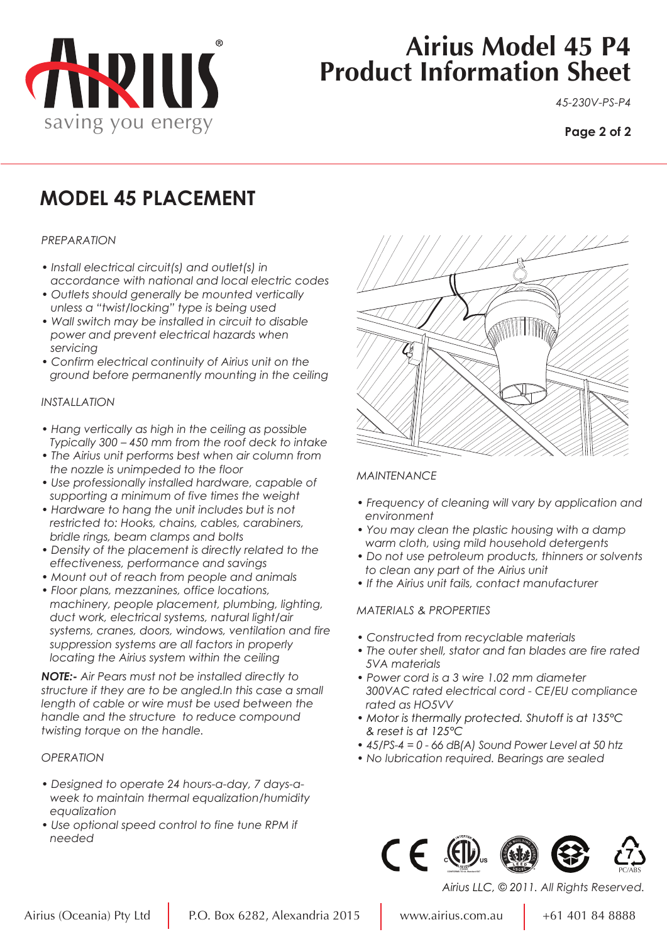

# **Airius Model 45 P4 Product Information Sheet**

*45-230V-PS-P4*

#### **Page 2 of 2**

## **MODEL 45 PLACEMENT**

#### *PREPARATION*

- *Install electrical circuit(s) and outlet(s) in accordance with national and local electric codes*
- *Outlets should generally be mounted vertically unless a "twist/locking" type is being used*
- *Wall switch may be installed in circuit to disable power and prevent electrical hazards when servicing*
- *Confirm electrical continuity of Airius unit on the ground before permanently mounting in the ceiling*

#### *INSTALLATION*

- *Hang vertically as high in the ceiling as possible Typically 300 – 450 mm from the roof deck to intake*
- *The Airius unit performs best when air column from the nozzle is unimpeded to the floor*
- *Use professionally installed hardware, capable of supporting a minimum of five times the weight*
- *Hardware to hang the unit includes but is not restricted to: Hooks, chains, cables, carabiners, bridle rings, beam clamps and bolts*
- *Density of the placement is directly related to the effectiveness, performance and savings*
- *Mount out of reach from people and animals*
- *Floor plans, mezzanines, office locations, machinery, people placement, plumbing, lighting, duct work, electrical systems, natural light/air systems, cranes, doors, windows, ventilation and fire suppression systems are all factors in properly locating the Airius system within the ceiling*

*NOTE:- Air Pears must not be installed directly to structure if they are to be angled.In this case a small length of cable or wire must be used between the handle and the structure to reduce compound twisting torque on the handle.*

#### *OPERATION*

- *Designed to operate 24 hours-a-day, 7 days-a week to maintain thermal equalization/humidity equalization*
- *Use optional speed control to fine tune RPM if needed*



#### *MAINTENANCE*

- *Frequency of cleaning will vary by application and environment*
- *You may clean the plastic housing with a damp warm cloth, using mild household detergents*
- *Do not use petroleum products, thinners or solvents to clean any part of the Airius unit*
- *If the Airius unit fails, contact manufacturer*

#### *MATERIALS & PROPERTIES*

- *Constructed from recyclable materials*
- *The outer shell, stator and fan blades are fire rated 5VA materials*
- *Power cord is a 3 wire 1.02 mm diameter 300VAC rated electrical cord - CE/EU compliance rated as HO5VV*
- *Motor is thermally protected. Shutoff is at 135°C & reset is at 125°C*
- *45/PS-4 = 0 66 dB(A) Sound Power Level at 50 htz*
- *No lubrication required. Bearings are sealed*



*Airius LLC, © 2011. All Rights Reserved.*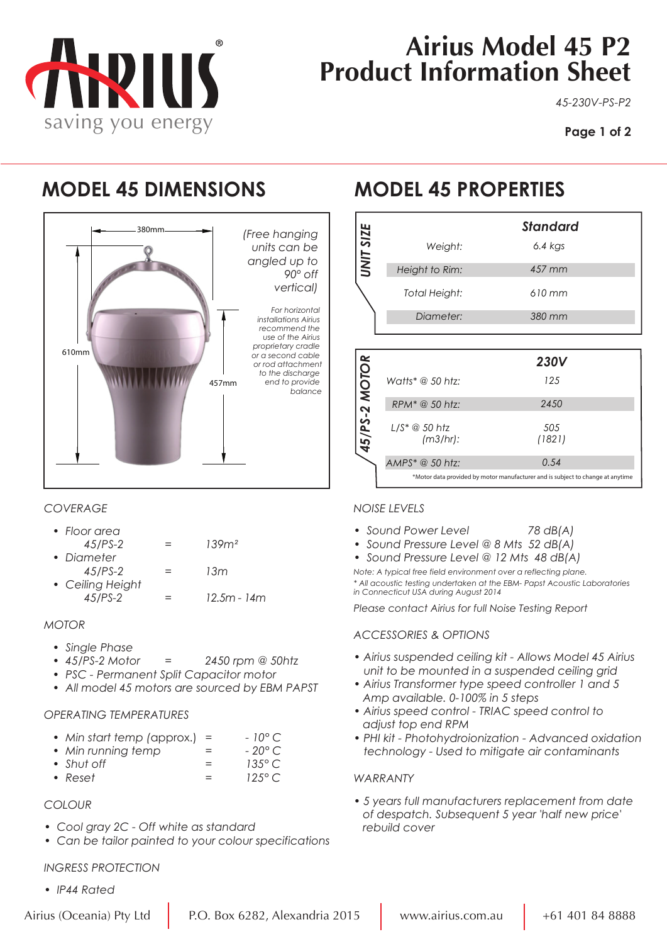

# **Airius Model 45 P2 Product Information Sheet**

*45-230V-PS-P2*

**Page 1 of 2**

## **MODEL 45 DIMENSIONS MODEL 45 PROPERTIES**



### *COVERAGE*

| • Floor area     |   |                  |
|------------------|---|------------------|
| $45$ /PS-2       |   | 139 <sup>2</sup> |
| • Diameter       |   |                  |
| $45$ /PS-2       | = | 13m              |
| • Ceiling Height |   |                  |
| $45/PS - 2$      |   | $12.5m - 14m$    |

#### *MOTOR*

- *Single Phase*
- *45/PS-2 Motor = 2450 rpm @ 50htz*
- *PSC Permanent Split Capacitor motor*
- *All model 45 motors are sourced by EBM PAPST*

#### *OPERATING TEMPERATURES*

|  | • Min start temp (approx.) = |  |  | $-10^{\circ}$ C |
|--|------------------------------|--|--|-----------------|
|--|------------------------------|--|--|-----------------|

- *Min running temp = 20° C • Shut off = 135° C*
- *Reset = 125° C*

#### *COLOUR*

- *Cool gray 2C Off white as standard*
- *Can be tailor painted to your colour specifications*

#### *INGRESS PROTECTION*

*• IP44 Rated*

|           |                | <b>Standard</b> |
|-----------|----------------|-----------------|
| UNIT SIZE | Weight:        | $6.4$ kgs       |
|           | Height to Rim: | 457 mm          |
|           | Total Height:  | $610$ mm        |
|           | Diameter:      | 380 mm          |
|           |                |                 |

|               |                   | <b>230V</b>                                                                    |
|---------------|-------------------|--------------------------------------------------------------------------------|
|               | Watts* @ 50 htz:  | 125                                                                            |
|               | $RPM^*$ @ 50 htz: | 2450                                                                           |
| 45/PS-2 MOTOR | (m3/hr):          | 505<br>(1821)                                                                  |
|               | AMPS* @ 50 htz:   | 0.54                                                                           |
|               |                   | *Motor data provided by motor manufacturer and is subject to change at anytime |

#### *NOISE LEVELS*

- *Sound Power Level 78 dB(A)*
- *Sound Pressure Level @ 8 Mts 52 dB(A)*
- Sound Pressure Level @ 12 Mts 48 dB(A)

*Note: A typical free field environment over a reflecting plane. \* All acoustic testing undertaken at the EBM- Papst Acoustic Laboratories in Connecticut USA during August 2014*

*Please contact Airius for full Noise Testing Report*

#### *ACCESSORIES & OPTIONS*

- *Airius suspended ceiling kit Allows Model 45 Airius unit to be mounted in a suspended ceiling grid*
- *Airius Transformer type speed controller 1 and 5 Amp available. 0-100% in 5 steps*
- *Airius speed control TRIAC speed control to adjust top end RPM*
- *PHI kit Photohydroionization Advanced oxidation technology - Used to mitigate air contaminants*

#### *WARRANTY*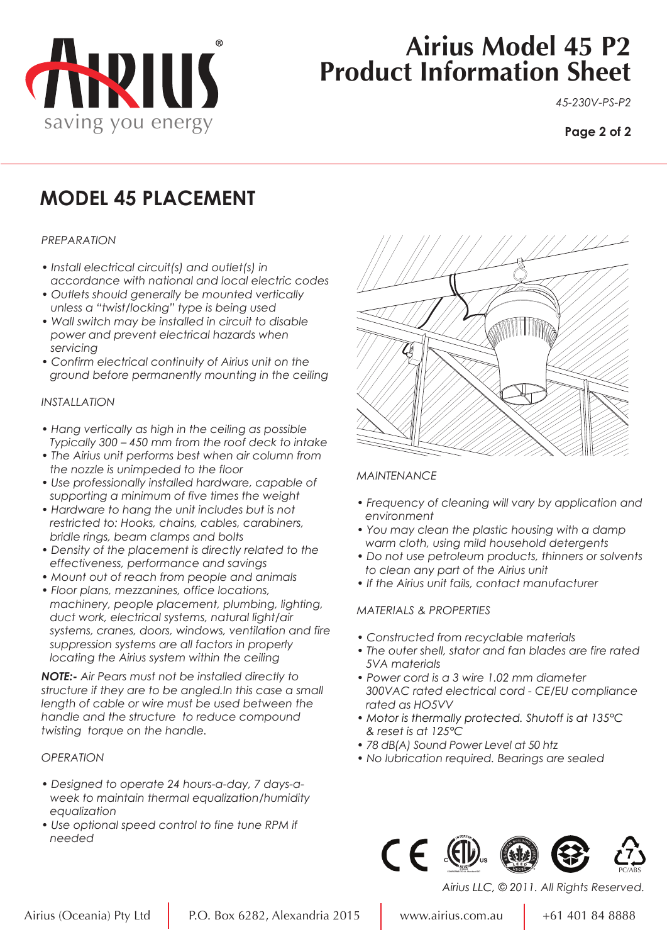

# **Airius Model 45 P2 Product Information Sheet**

*45-230V-PS-P2*

#### **Page 2 of 2**

## **MODEL 45 PLACEMENT**

#### *PREPARATION*

- *Install electrical circuit(s) and outlet(s) in accordance with national and local electric codes*
- *Outlets should generally be mounted vertically unless a "twist/locking" type is being used*
- *Wall switch may be installed in circuit to disable power and prevent electrical hazards when servicing*
- *Confirm electrical continuity of Airius unit on the ground before permanently mounting in the ceiling*

#### *INSTALLATION*

- *Hang vertically as high in the ceiling as possible Typically 300 – 450 mm from the roof deck to intake*
- *The Airius unit performs best when air column from the nozzle is unimpeded to the floor*
- *Use professionally installed hardware, capable of supporting a minimum of five times the weight*
- *Hardware to hang the unit includes but is not restricted to: Hooks, chains, cables, carabiners, bridle rings, beam clamps and bolts*
- *Density of the placement is directly related to the effectiveness, performance and savings*
- *Mount out of reach from people and animals*
- *Floor plans, mezzanines, office locations, machinery, people placement, plumbing, lighting, duct work, electrical systems, natural light/air systems, cranes, doors, windows, ventilation and fire suppression systems are all factors in properly locating the Airius system within the ceiling*

*NOTE:- Air Pears must not be installed directly to structure if they are to be angled.In this case a small length of cable or wire must be used between the handle and the structure to reduce compound twisting torque on the handle.*

#### *OPERATION*

- *Designed to operate 24 hours-a-day, 7 days-a week to maintain thermal equalization/humidity equalization*
- *Use optional speed control to fine tune RPM if needed*



#### *MAINTENANCE*

- *Frequency of cleaning will vary by application and environment*
- *You may clean the plastic housing with a damp warm cloth, using mild household detergents*
- *Do not use petroleum products, thinners or solvents to clean any part of the Airius unit*
- *If the Airius unit fails, contact manufacturer*

#### *MATERIALS & PROPERTIES*

- *Constructed from recyclable materials*
- *The outer shell, stator and fan blades are fire rated 5VA materials*
- *Power cord is a 3 wire 1.02 mm diameter 300VAC rated electrical cord - CE/EU compliance rated as HO5VV*
- *Motor is thermally protected. Shutoff is at 135°C & reset is at 125°C*
- *78 dB(A) Sound Power Level at 50 htz*
- *No lubrication required. Bearings are sealed*



*Airius LLC, © 2011. All Rights Reserved.*

PC/ABS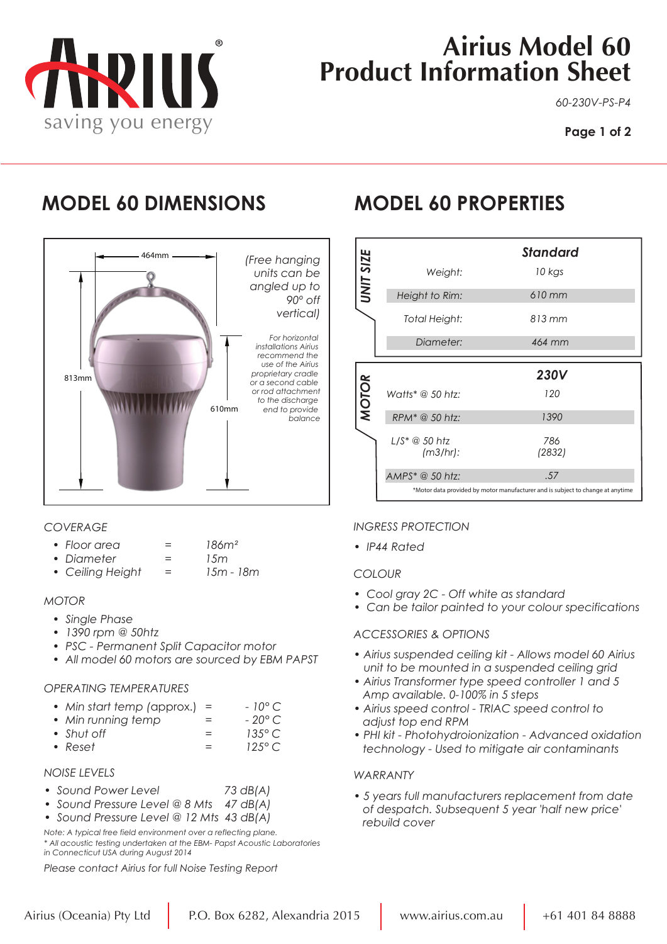

# **Airius Model 60 Product Information Sheet**

*60-230V-PS-P4*

## **MODEL 60 DIMENSIONS MODEL 60 PROPERTIES**



#### *COVERAGE*

| • Floor area |  | 186m <sup>2</sup> |
|--------------|--|-------------------|
|--------------|--|-------------------|

- *Diameter = 15m*
- Ceiling Height =

#### *MOTOR*

- *Single Phase*
- *• 1390 rpm @ 50htz*
- *PSC Permanent Split Capacitor motor*
- *All model 60 motors are sourced by EBM PAPST*

#### *OPERATING TEMPERATURES*

|  | • Min start temp (approx.) $=$ | $-10^{\circ}$ C |  |
|--|--------------------------------|-----------------|--|
|  |                                | ----            |  |

- *Min running temp = 20° C*
- *Shut off* =  $\qquad \qquad =$ *• Reset = 125° C*
- *NOISE LEVELS*
- *Sound Power Level 73 dB(A)*
- *Sound Pressure Level @ 8 Mts 47 dB(A)*
- *Sound Pressure Level @ 12 Mts 43 dB(A)*

*Note: A typical free field environment over a reflecting plane. \* All acoustic testing undertaken at the EBM- Papst Acoustic Laboratories in Connecticut USA during August 2014*

*Please contact Airius for full Noise Testing Report*

|                  |                            | Standard      |
|------------------|----------------------------|---------------|
| <b>UNIT SIZE</b> | Weight:                    | 10 kgs        |
|                  | Height to Rim:             | 610 mm        |
|                  | Total Height:              | 813 mm        |
|                  | Diameter:                  | 464 mm        |
|                  |                            | <b>230V</b>   |
| <b>MOTOR</b>     | Watts* $@$ 50 htz:         | 120           |
|                  | RPM <sup>*</sup> @ 50 htz: | 1390          |
|                  | (m3/hr):                   | 786<br>(2832) |
|                  | AMPS* @ 50 htz:            | .57           |
|                  |                            |               |

### *INGRESS PROTECTION*

*• IP44 Rated*

#### *COLOUR*

- *Cool gray 2C Off white as standard*
- *Can be tailor painted to your colour specifications*

#### *ACCESSORIES & OPTIONS*

- *Airius suspended ceiling kit Allows model 60 Airius unit to be mounted in a suspended ceiling grid*
- *Airius Transformer type speed controller 1 and 5 Amp available. 0-100% in 5 steps*
- *Airius speed control TRIAC speed control to adjust top end RPM*
- *PHI kit Photohydroionization Advanced oxidation technology - Used to mitigate air contaminants*

#### *WARRANTY*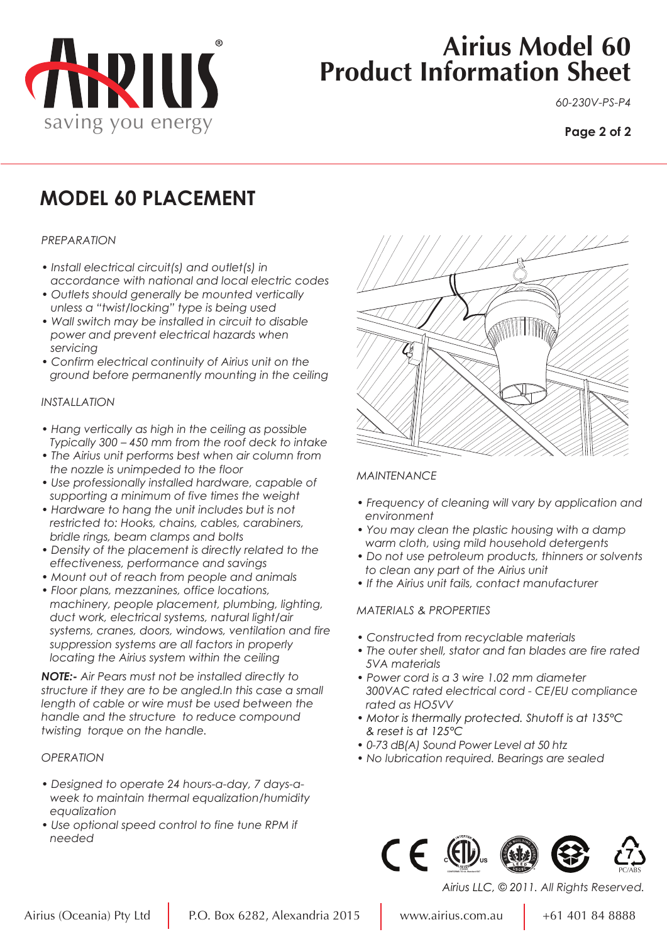

# **Airius Model 60 Product Information Sheet**

*60-230V-PS-P4*

#### **Page 2 of 2**

## **MODEL 60 PLACEMENT**

#### *PREPARATION*

- *Install electrical circuit(s) and outlet(s) in accordance with national and local electric codes*
- *Outlets should generally be mounted vertically unless a "twist/locking" type is being used*
- *Wall switch may be installed in circuit to disable power and prevent electrical hazards when servicing*
- *Confirm electrical continuity of Airius unit on the ground before permanently mounting in the ceiling*

#### *INSTALLATION*

- *Hang vertically as high in the ceiling as possible Typically 300 – 450 mm from the roof deck to intake*
- *The Airius unit performs best when air column from the nozzle is unimpeded to the floor*
- *Use professionally installed hardware, capable of supporting a minimum of five times the weight*
- *Hardware to hang the unit includes but is not restricted to: Hooks, chains, cables, carabiners, bridle rings, beam clamps and bolts*
- *Density of the placement is directly related to the effectiveness, performance and savings*
- *Mount out of reach from people and animals*
- *Floor plans, mezzanines, office locations, machinery, people placement, plumbing, lighting, duct work, electrical systems, natural light/air systems, cranes, doors, windows, ventilation and fire suppression systems are all factors in properly locating the Airius system within the ceiling*

*NOTE:- Air Pears must not be installed directly to structure if they are to be angled.In this case a small length of cable or wire must be used between the handle and the structure to reduce compound twisting torque on the handle.*

#### *OPERATION*

- *Designed to operate 24 hours-a-day, 7 days-a week to maintain thermal equalization/humidity equalization*
- *Use optional speed control to fine tune RPM if needed*



#### *MAINTENANCE*

- *Frequency of cleaning will vary by application and environment*
- *You may clean the plastic housing with a damp warm cloth, using mild household detergents*
- *Do not use petroleum products, thinners or solvents to clean any part of the Airius unit*
- *If the Airius unit fails, contact manufacturer*

#### *MATERIALS & PROPERTIES*

- *Constructed from recyclable materials*
- *The outer shell, stator and fan blades are fire rated 5VA materials*
- *Power cord is a 3 wire 1.02 mm diameter 300VAC rated electrical cord - CE/EU compliance rated as HO5VV*
- *Motor is thermally protected. Shutoff is at 135°C & reset is at 125°C*
- *0-73 dB(A) Sound Power Level at 50 htz*
- *No lubrication required. Bearings are sealed*



*Airius LLC, © 2011. All Rights Reserved.*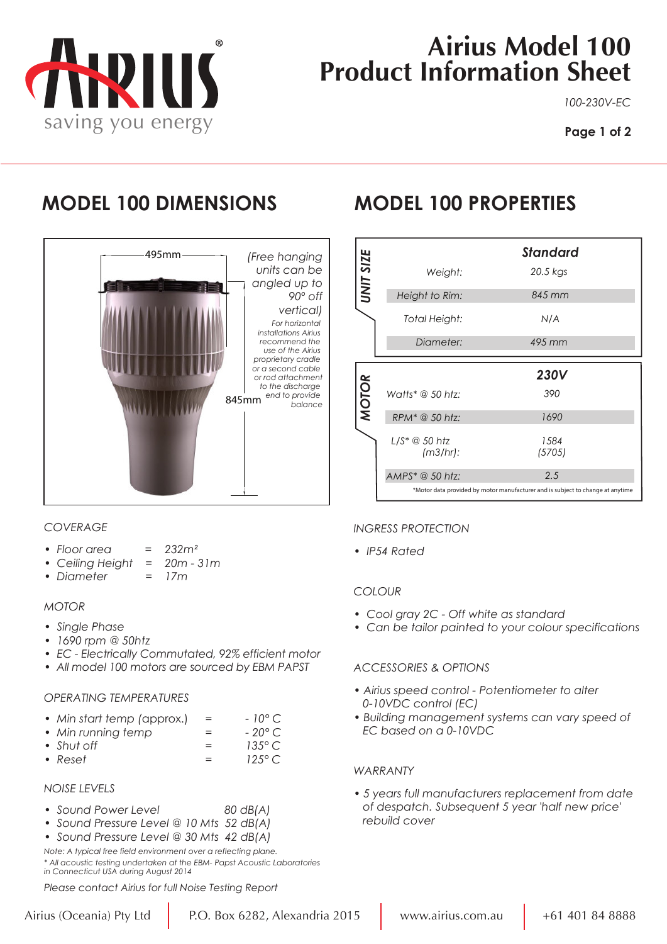

# **Airius Model 100 Product Information Sheet**

*100-230V-EC*

## **MODEL 100 DIMENSIONS MODEL 100 PROPERTIES**



### *COVERAGE*

- *Floor area = 232m²*
- *Ceiling Height = 20m 31m*
- *Diameter = 17m*

#### *MOTOR*

- *Single Phase*
- *• 1690 rpm @ 50htz*
- *EC Electrically Commutated, 92% efficient motor*
- *All model 100 motors are sourced by EBM PAPST*

#### *OPERATING TEMPERATURES*

| • Min start temp (approx.) | $-10^{\circ}$ C |
|----------------------------|-----------------|
|----------------------------|-----------------|

- *Min running temp = 20° C*
- *Shut off = 135° C*   $\bullet$  *Reset*  $=$
- 

#### *NOISE LEVELS*

- *Sound Power Level 80 dB(A)*
- *Sound Pressure Level @ 10 Mts 52 dB(A)*
- *Sound Pressure Level @ 30 Mts 42 dB(A)*

*Note: A typical free field environment over a reflecting plane. \* All acoustic testing undertaken at the EBM- Papst Acoustic Laboratories in Connecticut USA during August 2014*

*Please contact Airius for full Noise Testing Report*

|                  |                    | <b>Standard</b> |
|------------------|--------------------|-----------------|
| <b>UNIT SIZE</b> | Weight:            | 20.5 kgs        |
|                  | Height to Rim:     | 845 mm          |
|                  | Total Height:      | N/A             |
|                  | Diameter:          | 495 mm          |
|                  |                    |                 |
|                  |                    |                 |
|                  |                    | <b>230V</b>     |
|                  | Watts* $@$ 50 htz: | 390             |
| <b>MOTOR</b>     | RPM* @ 50 htz:     | 1690            |
|                  | (m3/hr):           | 1584<br>(5705)  |
|                  | AMPS* @ 50 htz:    | 2.5             |

#### *INGRESS PROTECTION*

*• IP54 Rated*

#### *COLOUR*

- *Cool gray 2C Off white as standard*
- *Can be tailor painted to your colour specifications*

#### *ACCESSORIES & OPTIONS*

- *Airius speed control Potentiometer to alter 0-10VDC control (EC)*
- *Building management systems can vary speed of EC based on a 0-10VDC*

#### *WARRANTY*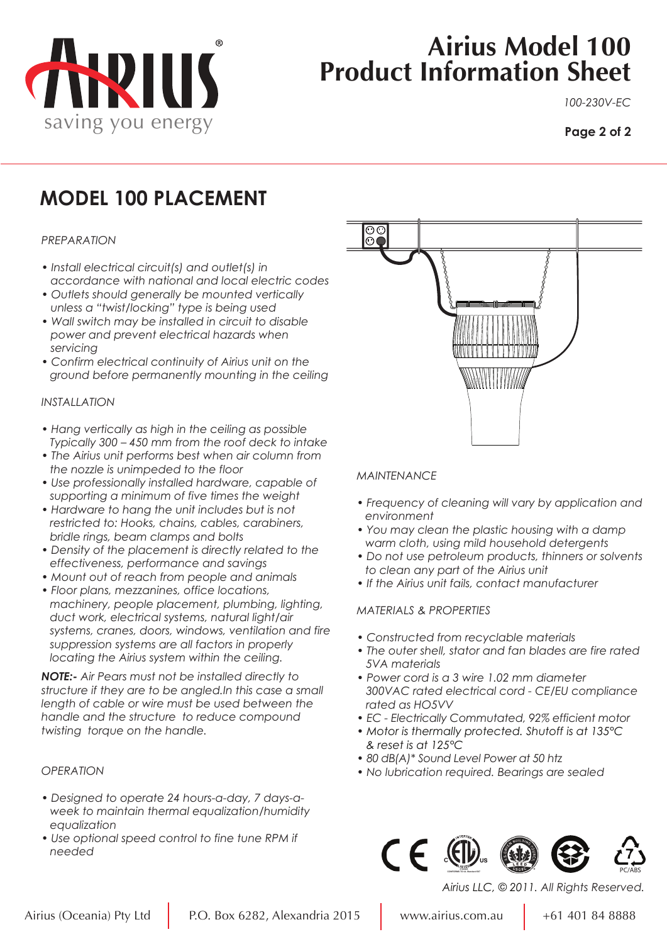

# **Airius Model 100 Product Information Sheet**

*100-230V-EC*

#### **Page 2 of 2**

## **MODEL 100 PLACEMENT**

#### *PREPARATION*

- *Install electrical circuit(s) and outlet(s) in accordance with national and local electric codes*
- *Outlets should generally be mounted vertically unless a "twist/locking" type is being used*
- *Wall switch may be installed in circuit to disable power and prevent electrical hazards when servicing*
- *Confirm electrical continuity of Airius unit on the ground before permanently mounting in the ceiling*

#### *INSTALLATION*

- *Hang vertically as high in the ceiling as possible Typically 300 – 450 mm from the roof deck to intake*
- *The Airius unit performs best when air column from the nozzle is unimpeded to the floor*
- *Use professionally installed hardware, capable of supporting a minimum of five times the weight*
- *Hardware to hang the unit includes but is not restricted to: Hooks, chains, cables, carabiners, bridle rings, beam clamps and bolts*
- *Density of the placement is directly related to the effectiveness, performance and savings*
- *Mount out of reach from people and animals*
- *Floor plans, mezzanines, office locations, machinery, people placement, plumbing, lighting, duct work, electrical systems, natural light/air systems, cranes, doors, windows, ventilation and fire suppression systems are all factors in properly locating the Airius system within the ceiling.*

*NOTE:- Air Pears must not be installed directly to structure if they are to be angled.In this case a small length of cable or wire must be used between the handle and the structure to reduce compound twisting torque on the handle.*

#### *OPERATION*

- *Designed to operate 24 hours-a-day, 7 days-a week to maintain thermal equalization/humidity equalization*
- *Use optional speed control to fine tune RPM if needed*



#### *MAINTENANCE*

- *Frequency of cleaning will vary by application and environment*
- *You may clean the plastic housing with a damp warm cloth, using mild household detergents*
- *Do not use petroleum products, thinners or solvents to clean any part of the Airius unit*
- *If the Airius unit fails, contact manufacturer*

#### *MATERIALS & PROPERTIES*

- *Constructed from recyclable materials*
- *The outer shell, stator and fan blades are fire rated 5VA materials*
- *Power cord is a 3 wire 1.02 mm diameter 300VAC rated electrical cord - CE/EU compliance rated as HO5VV*
- *EC Electrically Commutated, 92% efficient motor*
- *Motor is thermally protected. Shutoff is at 135°C & reset is at 125°C*
- *80 dB(A)\* Sound Level Power at 50 htz*
- *No lubrication required. Bearings are sealed*



*Airius LLC, © 2011. All Rights Reserved.*

PC/ABS